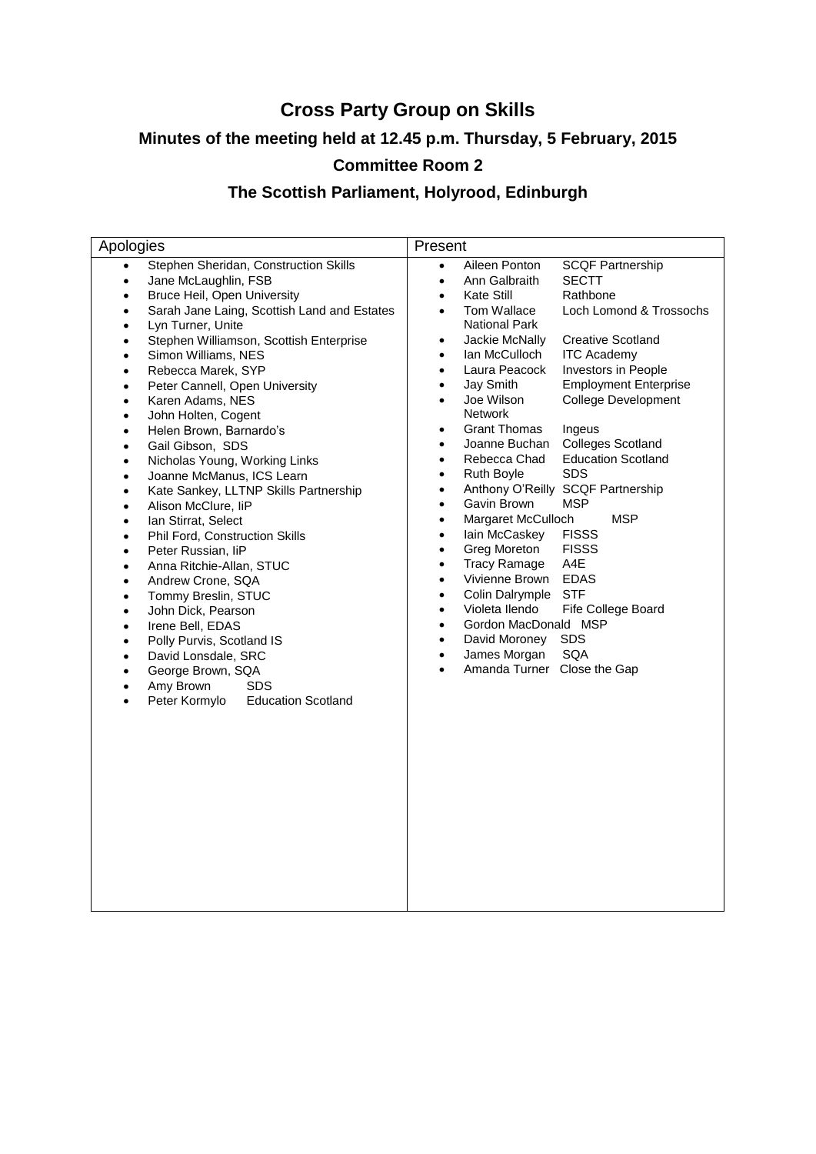## **Cross Party Group on Skills**

## **Minutes of the meeting held at 12.45 p.m. Thursday, 5 February, 2015**

# **Committee Room 2**

## **The Scottish Parliament, Holyrood, Edinburgh**

| Apologies                                                                                                                                                                                                                                                                                                                                                                                                                                                                                                                                                                                                                                                                                                                                                                                                                                                                                                                                                                                                                                                                                                                                                                                                                                                           | Present                                                                                                                                                                                                                                                                                                                                                                                                                                                                                                                                                                                                                                                                                                                                                                                                                                                                                                                                                                                                                                                                                                                                                                                                                                                                                                                               |
|---------------------------------------------------------------------------------------------------------------------------------------------------------------------------------------------------------------------------------------------------------------------------------------------------------------------------------------------------------------------------------------------------------------------------------------------------------------------------------------------------------------------------------------------------------------------------------------------------------------------------------------------------------------------------------------------------------------------------------------------------------------------------------------------------------------------------------------------------------------------------------------------------------------------------------------------------------------------------------------------------------------------------------------------------------------------------------------------------------------------------------------------------------------------------------------------------------------------------------------------------------------------|---------------------------------------------------------------------------------------------------------------------------------------------------------------------------------------------------------------------------------------------------------------------------------------------------------------------------------------------------------------------------------------------------------------------------------------------------------------------------------------------------------------------------------------------------------------------------------------------------------------------------------------------------------------------------------------------------------------------------------------------------------------------------------------------------------------------------------------------------------------------------------------------------------------------------------------------------------------------------------------------------------------------------------------------------------------------------------------------------------------------------------------------------------------------------------------------------------------------------------------------------------------------------------------------------------------------------------------|
| Stephen Sheridan, Construction Skills<br>$\bullet$<br>Jane McLaughlin, FSB<br>$\bullet$<br>Bruce Heil, Open University<br>$\bullet$<br>Sarah Jane Laing, Scottish Land and Estates<br>$\bullet$<br>Lyn Turner, Unite<br>$\bullet$<br>Stephen Williamson, Scottish Enterprise<br>$\bullet$<br>Simon Williams, NES<br>$\bullet$<br>Rebecca Marek, SYP<br>$\bullet$<br>Peter Cannell, Open University<br>$\bullet$<br>Karen Adams, NES<br>$\bullet$<br>John Holten, Cogent<br>$\bullet$<br>Helen Brown, Barnardo's<br>$\bullet$<br>Gail Gibson, SDS<br>$\bullet$<br>Nicholas Young, Working Links<br>$\bullet$<br>Joanne McManus, ICS Learn<br>$\bullet$<br>Kate Sankey, LLTNP Skills Partnership<br>$\bullet$<br>Alison McClure, liP<br>٠<br>Ian Stirrat, Select<br>$\bullet$<br>Phil Ford, Construction Skills<br>$\bullet$<br>Peter Russian, liP<br>$\bullet$<br>Anna Ritchie-Allan, STUC<br>$\bullet$<br>Andrew Crone, SQA<br>$\bullet$<br>Tommy Breslin, STUC<br>$\bullet$<br>John Dick, Pearson<br>$\bullet$<br>Irene Bell, EDAS<br>$\bullet$<br>Polly Purvis, Scotland IS<br>$\bullet$<br>David Lonsdale, SRC<br>$\bullet$<br>George Brown, SQA<br>$\bullet$<br>Amy Brown<br><b>SDS</b><br>$\bullet$<br>Peter Kormylo<br><b>Education Scotland</b><br>$\bullet$ | Aileen Ponton<br><b>SCQF Partnership</b><br>$\bullet$<br>Ann Galbraith<br><b>SECTT</b><br>$\bullet$<br>Kate Still<br>Rathbone<br>$\bullet$<br>Tom Wallace<br>Loch Lomond & Trossochs<br>$\bullet$<br>National Park<br>Jackie McNally<br><b>Creative Scotland</b><br>$\bullet$<br>Ian McCulloch<br><b>ITC Academy</b><br>$\bullet$<br>Laura Peacock<br>Investors in People<br>$\bullet$<br>Jay Smith<br><b>Employment Enterprise</b><br>$\bullet$<br>Joe Wilson<br><b>College Development</b><br>$\bullet$<br>Network<br><b>Grant Thomas</b><br>Ingeus<br>$\bullet$<br><b>Colleges Scotland</b><br>Joanne Buchan<br>$\bullet$<br><b>Education Scotland</b><br>Rebecca Chad<br>$\bullet$<br><b>SDS</b><br><b>Ruth Boyle</b><br>$\bullet$<br>Anthony O'Reilly SCQF Partnership<br>$\bullet$<br><b>MSP</b><br>Gavin Brown<br>$\bullet$<br><b>MSP</b><br>Margaret McCulloch<br>$\bullet$<br>lain McCaskey<br><b>FISSS</b><br>$\bullet$<br>Greg Moreton<br><b>FISSS</b><br>$\bullet$<br><b>Tracy Ramage</b><br>A4E<br>$\bullet$<br>Vivienne Brown<br><b>EDAS</b><br>$\bullet$<br>Colin Dalrymple<br><b>STF</b><br>$\bullet$<br>Violeta Ilendo<br>Fife College Board<br>$\bullet$<br>Gordon MacDonald MSP<br>$\bullet$<br><b>SDS</b><br>David Moroney<br>$\bullet$<br><b>SQA</b><br>James Morgan<br>$\bullet$<br>Amanda Turner Close the Gap |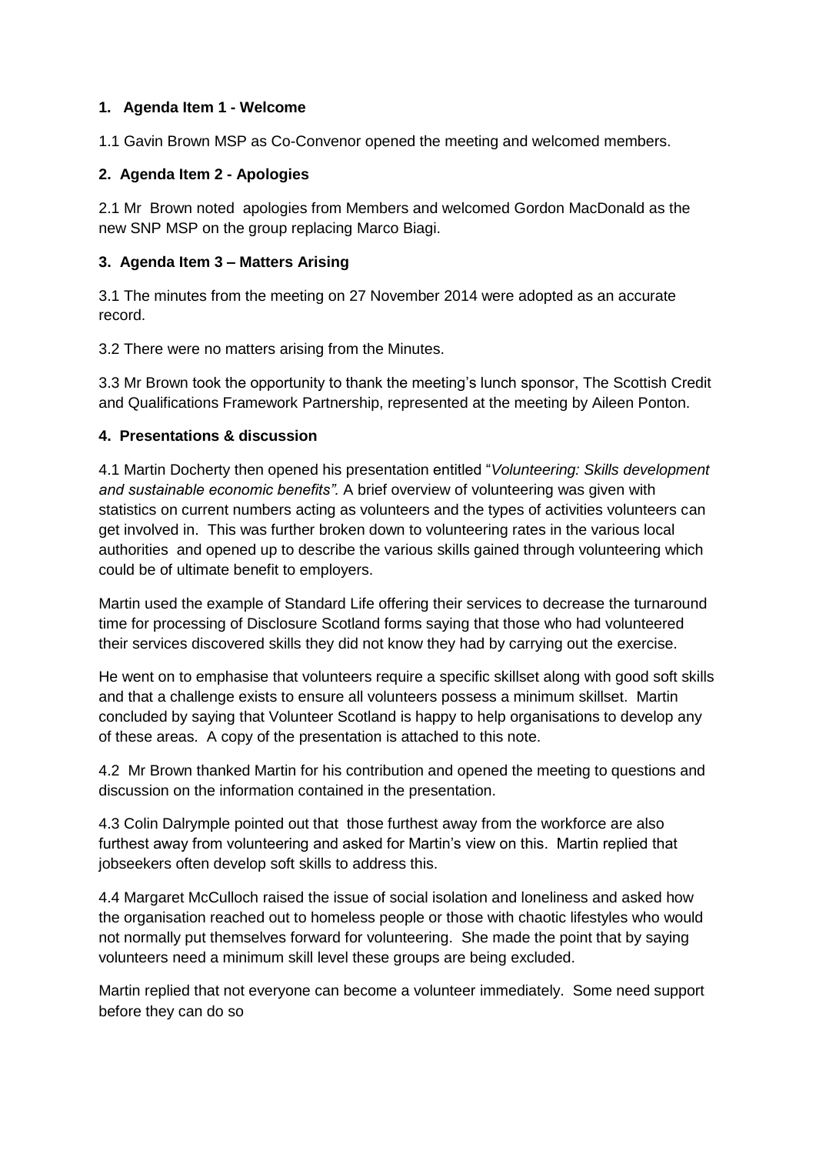#### **1. Agenda Item 1 - Welcome**

1.1 Gavin Brown MSP as Co-Convenor opened the meeting and welcomed members.

#### **2. Agenda Item 2 - Apologies**

2.1 Mr Brown noted apologies from Members and welcomed Gordon MacDonald as the new SNP MSP on the group replacing Marco Biagi.

#### **3. Agenda Item 3 – Matters Arising**

3.1 The minutes from the meeting on 27 November 2014 were adopted as an accurate record.

3.2 There were no matters arising from the Minutes.

3.3 Mr Brown took the opportunity to thank the meeting's lunch sponsor, The Scottish Credit and Qualifications Framework Partnership, represented at the meeting by Aileen Ponton.

#### **4. Presentations & discussion**

4.1 Martin Docherty then opened his presentation entitled "*Volunteering: Skills development and sustainable economic benefits".* A brief overview of volunteering was given with statistics on current numbers acting as volunteers and the types of activities volunteers can get involved in. This was further broken down to volunteering rates in the various local authorities and opened up to describe the various skills gained through volunteering which could be of ultimate benefit to employers.

Martin used the example of Standard Life offering their services to decrease the turnaround time for processing of Disclosure Scotland forms saying that those who had volunteered their services discovered skills they did not know they had by carrying out the exercise.

He went on to emphasise that volunteers require a specific skillset along with good soft skills and that a challenge exists to ensure all volunteers possess a minimum skillset. Martin concluded by saying that Volunteer Scotland is happy to help organisations to develop any of these areas. A copy of the presentation is attached to this note.

4.2 Mr Brown thanked Martin for his contribution and opened the meeting to questions and discussion on the information contained in the presentation.

4.3 Colin Dalrymple pointed out that those furthest away from the workforce are also furthest away from volunteering and asked for Martin's view on this. Martin replied that jobseekers often develop soft skills to address this.

4.4 Margaret McCulloch raised the issue of social isolation and loneliness and asked how the organisation reached out to homeless people or those with chaotic lifestyles who would not normally put themselves forward for volunteering. She made the point that by saying volunteers need a minimum skill level these groups are being excluded.

Martin replied that not everyone can become a volunteer immediately. Some need support before they can do so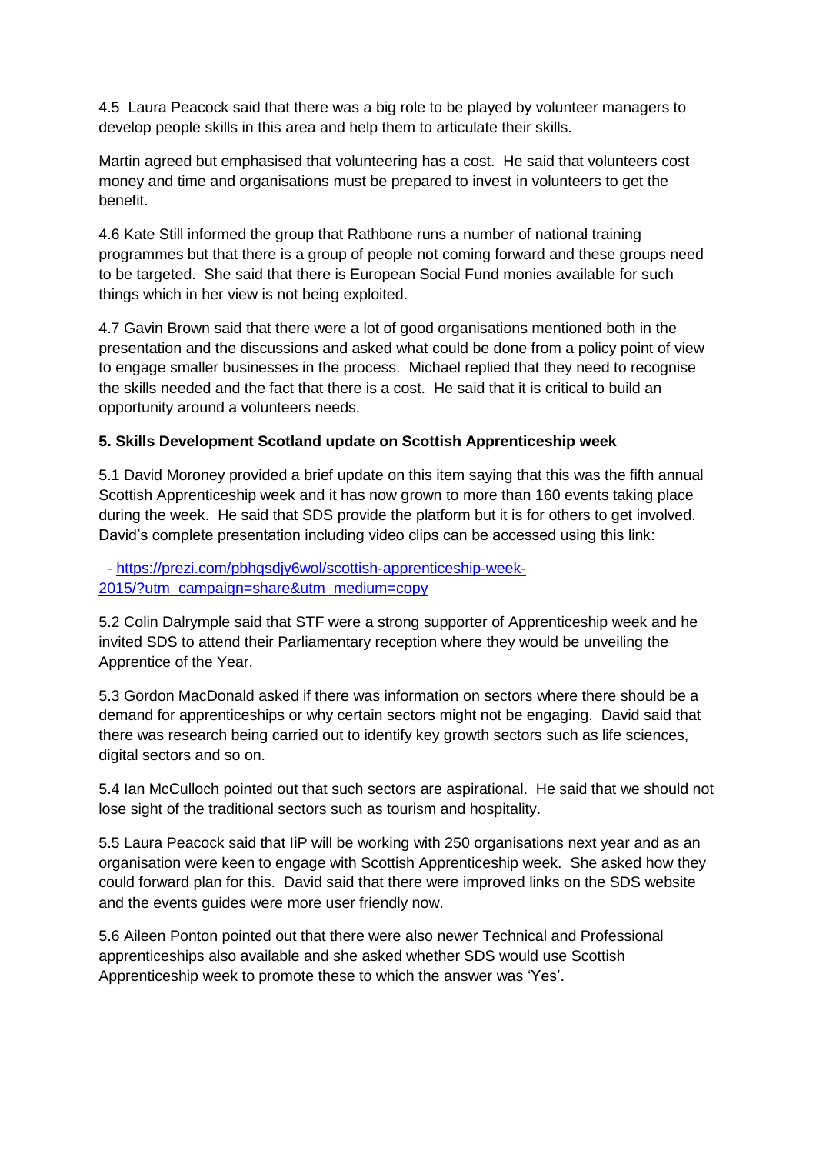4.5 Laura Peacock said that there was a big role to be played by volunteer managers to develop people skills in this area and help them to articulate their skills.

Martin agreed but emphasised that volunteering has a cost. He said that volunteers cost money and time and organisations must be prepared to invest in volunteers to get the benefit.

4.6 Kate Still informed the group that Rathbone runs a number of national training programmes but that there is a group of people not coming forward and these groups need to be targeted. She said that there is European Social Fund monies available for such things which in her view is not being exploited.

4.7 Gavin Brown said that there were a lot of good organisations mentioned both in the presentation and the discussions and asked what could be done from a policy point of view to engage smaller businesses in the process. Michael replied that they need to recognise the skills needed and the fact that there is a cost. He said that it is critical to build an opportunity around a volunteers needs.

#### **5. Skills Development Scotland update on Scottish Apprenticeship week**

5.1 David Moroney provided a brief update on this item saying that this was the fifth annual Scottish Apprenticeship week and it has now grown to more than 160 events taking place during the week. He said that SDS provide the platform but it is for others to get involved. David's complete presentation including video clips can be accessed using this link:

 - [https://prezi.com/pbhqsdjy6wol/scottish-apprenticeship-week-](https://prezi.com/pbhqsdjy6wol/scottish-apprenticeship-week-2015/?utm_campaign=share&utm_medium=copy)[2015/?utm\\_campaign=share&utm\\_medium=copy](https://prezi.com/pbhqsdjy6wol/scottish-apprenticeship-week-2015/?utm_campaign=share&utm_medium=copy)

5.2 Colin Dalrymple said that STF were a strong supporter of Apprenticeship week and he invited SDS to attend their Parliamentary reception where they would be unveiling the Apprentice of the Year.

5.3 Gordon MacDonald asked if there was information on sectors where there should be a demand for apprenticeships or why certain sectors might not be engaging. David said that there was research being carried out to identify key growth sectors such as life sciences, digital sectors and so on.

5.4 Ian McCulloch pointed out that such sectors are aspirational. He said that we should not lose sight of the traditional sectors such as tourism and hospitality.

5.5 Laura Peacock said that IiP will be working with 250 organisations next year and as an organisation were keen to engage with Scottish Apprenticeship week. She asked how they could forward plan for this. David said that there were improved links on the SDS website and the events guides were more user friendly now.

5.6 Aileen Ponton pointed out that there were also newer Technical and Professional apprenticeships also available and she asked whether SDS would use Scottish Apprenticeship week to promote these to which the answer was 'Yes'.